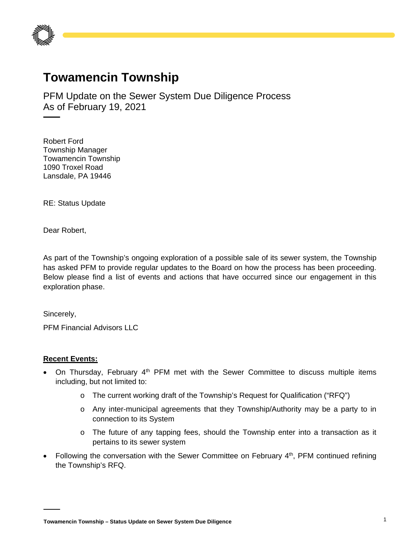

## **Towamencin Township**

PFM Update on the Sewer System Due Diligence Process As of February 19, 2021

Robert Ford Township Manager Towamencin Township 1090 Troxel Road Lansdale, PA 19446

RE: Status Update

Dear Robert,

As part of the Township's ongoing exploration of a possible sale of its sewer system, the Township has asked PFM to provide regular updates to the Board on how the process has been proceeding. Below please find a list of events and actions that have occurred since our engagement in this exploration phase.

Sincerely,

PFM Financial Advisors LLC

## **Recent Events:**

- On Thursday, February  $4<sup>th</sup>$  PFM met with the Sewer Committee to discuss multiple items including, but not limited to:
	- o The current working draft of the Township's Request for Qualification ("RFQ")
	- o Any inter-municipal agreements that they Township/Authority may be a party to in connection to its System
	- o The future of any tapping fees, should the Township enter into a transaction as it pertains to its sewer system
- Following the conversation with the Sewer Committee on February 4th, PFM continued refining the Township's RFQ.